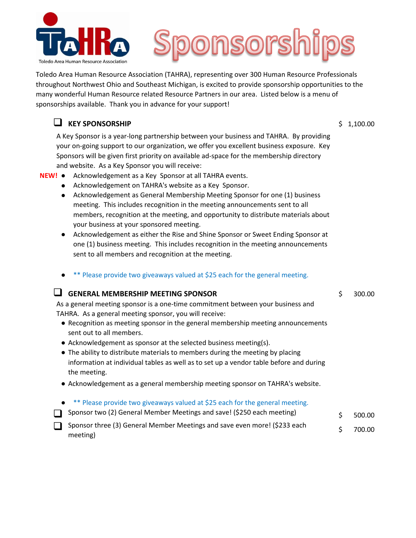



Toledo Area Human Resource Association (TAHRA), representing over 300 Human Resource Professionals throughout Northwest Ohio and Southeast Michigan, is excited to provide sponsorship opportunities to the many wonderful Human Resource related Resource Partners in our area. Listed below is a menu of sponsorships available. Thank you in advance for your support!

## **Q** KEY SPONSORSHIP \$ 1,100.00

meeting)

A Key Sponsor is a year-long partnership between your business and TAHRA. By providing your on-going support to our organization, we offer you excellent business exposure. Key Sponsors will be given first priority on available ad-space for the membership directory and website. As a Key Sponsor you will receive:

## **NEW!** ● Acknowledgement as a Key Sponsor at all TAHRA events.

- Acknowledgement on TAHRA's website as a Key Sponsor.
- Acknowledgement as General Membership Meeting Sponsor for one (1) business meeting. This includes recognition in the meeting announcements sent to all members, recognition at the meeting, and opportunity to distribute materials about your business at your sponsored meeting.
- Acknowledgement as either the Rise and Shine Sponsor or Sweet Ending Sponsor at one (1) business meeting. This includes recognition in the meeting announcements sent to all members and recognition at the meeting.
- Please provide two giveaways valued at \$25 each for the general meeting.

## **Q GENERAL MEMBERSHIP MEETING SPONSOR** 6 6 300.00

As a general meeting sponsor is a one-time commitment between your business and TAHRA. As a general meeting sponsor, you will receive:

- Recognition as meeting sponsor in the general membership meeting announcements sent out to all members.
- Acknowledgement as sponsor at the selected business meeting(s).
- The ability to distribute materials to members during the meeting by placing information at individual tables as well as to set up a vendor table before and during the meeting.
- Acknowledgement as a general membership meeting sponsor on TAHRA's website.
- \*\* Please provide two giveaways valued at \$25 each for the general meeting.
- Sponsor two (2) General Member Meetings and save! (\$250 each meeting)  $\qquad \qquad$  \$ 500.00 Sponsor three (3) General Member Meetings and save even more! (\$233 each \$ 700.00